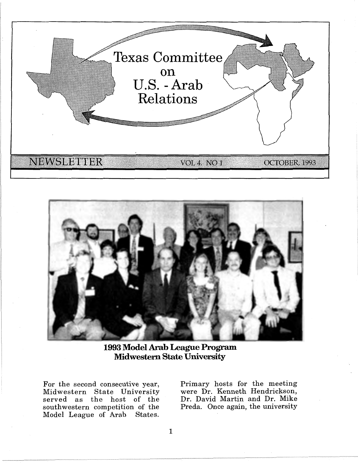



**1993 Model Arab League Program Midwestern State University** 

For the second consecutive year, Midwestern State University served as the host of the southwestern competition of the<br>Model League of Arab States. Model League of Arab

Primary hosts for the meeting were Dr. Kenneth Hendrickson, Dr. David Martin and Dr. Mike Preda. Once again, the university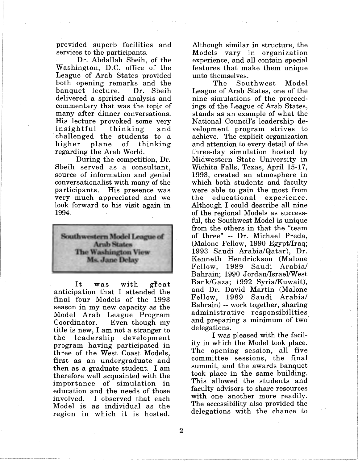provided superb facilities and services to the participants.

Dr. Abdallah Sbeih, of the Washington, D.C. office of the League of Arab States provided both opening remarks and the banquet lecture. Dr. Sbeih delivered a spirited analysis and commentary that was the topic of many after dinner conversations. His lecture provoked some very insightful thinking and · challenged the students to a higher plane of thinking regarding the Arab World.

During the competition, Dr. Sbeih served as a consultant, source of information and genial conversationalist with many of the participants. His presence was very much appreciated and we look forward to his visit again in 1994.



It was with great anticipation that I attended the final four Models of the 1993 season in my new capacity as the Model Arab League Program Coordinator. Even though my title is new, I am not a stranger to the leadership development program having participated in three of the West Coast Models, first as an undergraduate and then as a graduate student. I am therefore well acquainted with the importance of simulation in education and the needs of those involved. I observed that each Model is as individual as the region in which it is hosted.

Although similar in structure, the Models vary in organization experience, and all contain special features that make them unique

unto themselves.<br>The Sou Southwest Model League of Arab States, one of the nine simulations of the proceedings of the League of Arab States, stands as an example of what the National Council's leadership development program strives to achieve. The explicit organization and attention to every detail of the three-day simulation hosted by Midwestern State University in Wichita Falls, Texas, April 15-17, 1993, created an atmosphere in which both students and faculty were able to gain the most from the educational experience. Although I could describe all nine of the regional Models as successful, the Southwest Model is unique from the others in that the "team of three" -- Dr. Michael Preda, (Malone Fellow, 1990 Egypt/Iraq; 1993 Saudi Arabia/Qatar), Dr. Kenneth Hendrickson (Malone Fellow, 1989 Saudi Arabia/ Bahrain; 1990 Jordan/Israel/West Bank/Gaza; 1992 Syria/Kuwait), and Dr. David Martin (Malone Fellow, 1989 Saudi Arabia/ Bahrain) -- work together, sharing administrative responsibilities and preparing a minimum of two delegations.

I was pleased with the facility in which the Model took place. The opening session, all five committee sessions, the final summit, and the awards banquet took place in the same building. This allowed the students and faculty advisors to share resources with one another more readily. The accessibility also provided the delegations with the chance to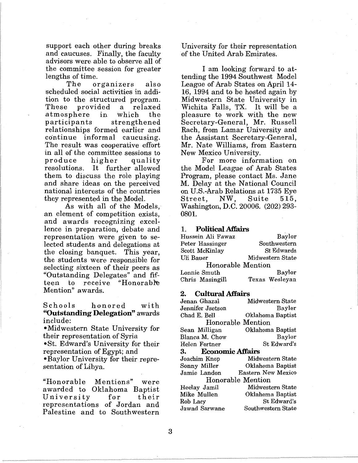support each other during breaks and caucuses. Finally, the faculty advisors were able to observe all of the committee session for greater lengths of time.<br>The order

organizers also scheduled social activities in addition to the structured program. These provided a relaxed atmosphere in which the<br>participants strengthened strengthened relationships formed earlier and continue informal caucusing. The result was cooperative effort in all of the committee sessions to produce higher quality resolutions. It further allowed them to discuss the role playing and share ideas on the perceived national interests of the countries they represented in the Model.

As with all of the Models,· an element of competition exists, and awards recognizing excellence in preparation, debate and representation were given to selected students and delegations at the closing banquet. This year, the students were responsible for selecting sixteen of their peers as "Outstanding Delegates" and fifteen to receive "Honorable Mention" awards.

Schools honored with **"Outstanding Delegation".** awards include:

•Midwestern State University for their representation of Syria

•St. Edward's University for their representation of Egypt; and

•Baylor University for their representation of Libya.

"Honorable Mentions" were awarded to Oklahoma Baptist University for their representations of Jordan and Palestine and to Southwestern University for their representation of the United Arab Emirates.

I am looking forward to attending the 1994 Southwest Model League of Arab States on April 14- 16, 1994 and to be hosted again by Midwestern State University in Wichita Falls, TX. It will be a pleasure to work with the new Secretary-General, Mr. Russell Rach, from Lamar University and the Assistant Secretary-General, Mr. Nate Williams, from Eastern New Mexico University.

For more information on the Model League of Arab States Program, please contact Ms. Jane M. Delay at the National Council on U.S.-Arab Relations at 1735 Eye<br>Street, NW, Suite 515,  $\rm Street$  , Washington, D.C. 20006. (202) 293- 0801.

#### 1. **Political Affairs**

| Hussein Ali Fawaz | Baylor           |
|-------------------|------------------|
| Peter Hassinger   | Southwestern     |
| Scott McKinlay    | St Edwards       |
| Uli Bauer         | Midwestern State |
| Honorable Mention |                  |
| Lonnie Smuth      | <b>Baylor</b>    |
| Chris Masingill   | Texas Wesleyan   |

#### **2. Cultural Affairs**

| Jenan Ghazal        | Midwestern State          |
|---------------------|---------------------------|
| Jennifer Jsetson    | Baylor                    |
| Chad E. Bell        | Oklahoma Baptist          |
| Honorable Mention   |                           |
| Sean Milligan       | Oklahoma Baptist          |
| Blanca M. Chow      | <b>Baylor</b>             |
| Helen Fortner       | St. Edward's              |
| 3. Economic Affairs |                           |
| Joachim Knop        | Midwestern State          |
| Sonny Miller        | Oklahoma Baptist          |
| Jamie Landon        | <b>Eastern New Mexico</b> |
| Honorable Mention   |                           |
| Heelay Jamil        | Midwestern State          |
| Mike Mullen         | Oklahoma Baptist          |
| Rob Lacy            | St Edward's               |
| Jawad Sarwane       | Southwestern State        |
|                     |                           |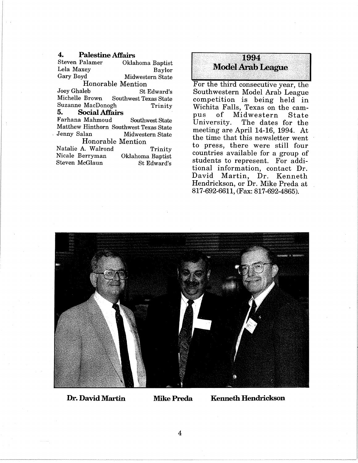**4. Palestine Affairs**  Oklahoma Baptist Lela Maxey<br>Gary Boyd Midwestern State Midwestern State Honorable Mention<br>Joey Ghaleb St. Joey Ghaleb St Edward's Southwest Texas State Suzanne MacDonogh Trinity<br>5. Social Affairs **5. Social Affairs**  Farhana Mahmoud Southwest State Matthew Hinthorn Southwest Texas State<br>Jenny Salan Midwestern State Midwestern State Honorable Mention Natalie A. Walrond Trinity Oklahoma Baptist St Edward's Nicale Berryman Steven McGlaun

# **f 1994**<br>**Model Arab League**

For the third consecutive year, the Southwestern Model Arab League competition is being held in Wichita Falls, Texas on the campus of Midwestern State The dates for the meeting are April 14-16, 1994. At the time that this newsletter went to press, there were still four countries available for a group of students to represent. For additional information, contact Dr. David Martin, Dr. Kenneth Hendrickson, or Dr. Mike Preda at 817-692-6611, (Fax: 817-692-4865).



**Dr. David Martin Mike Preda Kenneth Hendrickson**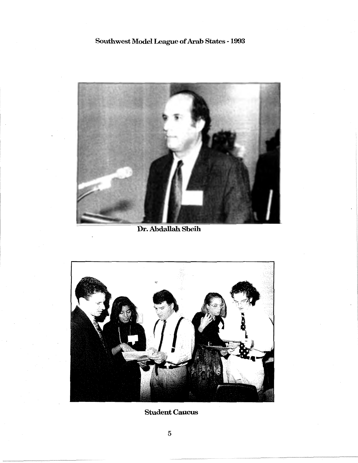## Southwest Model League of Arab States - 1993



Dr. Abdallah Sbeih



Student Caucus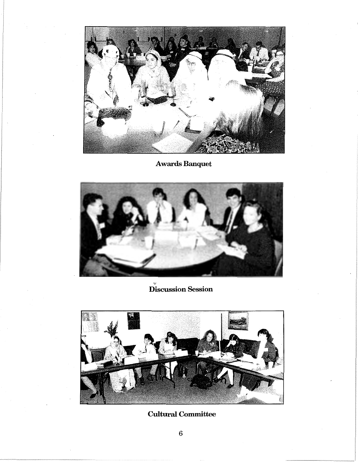

Awards Banquet



Discussion Session



Cultural Committee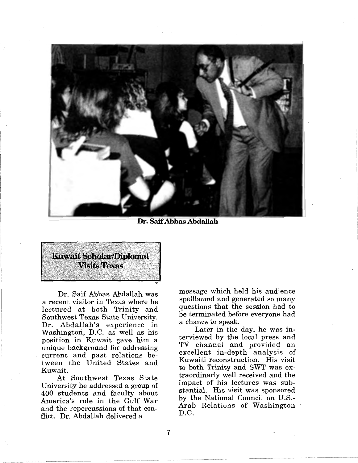

**Dr. Saif Abbas Abdallah** 



Dr. Saif Abbas Abdallah was a recent visitor in Texas where he lectured at both Trinity and Southwest Texas State University. Dr. Abdallah's experience in Washington, D.C. as well as his position in Kuwait gave him a unique background for addressing current and past relations between the United States and Kuwait.

At Southwest Texas State University he addressed a group of 400 students and faculty about America's role in the Gulf War and the repercussions of that conflict. Dr. Abdallah delivered a

message which held his audience spellbound and generated so many questions that the session had to be terminated before everyone had a chance to speak.

Later in the day, he was interviewed by the local press and TV channel and provided an excellent in-depth analysis of Kuwaiti reconstruction. His visit to both Trinity and SWT was extraordinarly well received and the impact of his lectures was substantial. His visit was sponsored by the National Council on U.S.- Arab Relations of Washington D.C.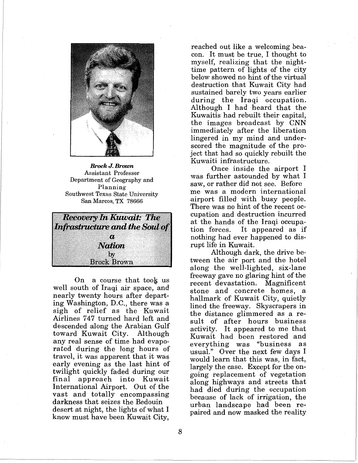

*Brock J. Brown*  Assistant Professor Department of Geography and Planning Southwest Texas State University San Marcos, TX 78666



On a course that took us well south of Iraqi air space, and nearly twenty hours after departing Washington, D.C., there was a sigh of relief as the Kuwait Airlines 747 turned hard left and descended along the Arabian Gulf toward Kuwait City. Although any real sense of time had evaporated during the long hours of travel, it was apparent that it was early evening as the last hint of twilight quickly faded during our final approach into Kuwait International Airport. Out of the vast and totally encompassing darkness that seizes the Bedouin desert at night, the lights of what I know must have been Kuwait City,

reached out like a welcoming beacon. It must be true, I thought to myself, realizing that the nighttime pattern of lights of the city below showed no hint of the virtual destruction that Kuwait City had sustained barely two years earlier during the Iraqi occupation. Although I had heard that the Kuwaitis had rebuilt their capital, the images broadcast by CNN immediately after the liberation lingered in my mind and underscored the magnitude of the project that had so quickly rebuilt the Kuwaiti infrastructure.

Once inside the airport I was further astounded by what I saw, or rather did not see. Before me was a modern international airport filled with busy people. There was no hint of the recent occupation and destruction incurred at the hands of the Iraqi occupation forces. It appeared as if nothing had ever happened to disrupt life in Kuwait.

Although dark, the drive between the air port and the hotel along the well-lighted, six-lane freeway gave no glaring hint of the recent devastation. Magnificent stone and concrete homes, a hallmark of Kuwait City, quietly lined the freeway. Skyscrapers in the distance glimmered as a result of after hours business activity. It appeared to me that Kuwait had been restored and everything was "business as usual." Over the next few days I would learn that this was, in fact, largely the case. Except for the ongoing replacement of vegetation along highways and streets that had died during the occupation because of lack of irrigation, the urban landscape had been repaired and now masked the reality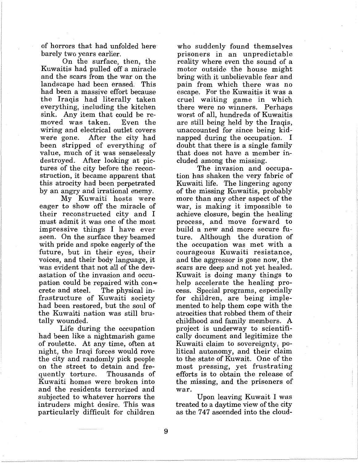of horrors that had unfolded here barely two years earlier.

On the surface, then, the Kuwaitis had pulled off a miracle and the scars from the war on the landscape had been erased. This had been a massive effort because the Iraqis had literally taken everything, including the kitchen sink. Any item that could be removed was taken. wiring and electrical outlet covers were gone. After the city had been stripped of everything of value, much of it was senselessly destroyed. After looking at pictures of the city before the reconstruction, it became apparent that this atrocity had been perpetrated by an angry and irrational enemy.

My Kuwaiti hosts were eager to show off the miracle of their reconstructed city and I must admit it was one of the most impressive things I have ever seen. On the surface they beamed with pride and spoke eagerly of the future, but in their eyes, their voices, and their body language, it was evident that not all of the devastation of the invasion and occupation could be repaired with con $\bullet$ crete and steel. The physical infrastructure of Kuwaiti society had been restored, but the soul of the Kuwaiti nation was still brutally wounded.

Life during the occupation had been like a nightmarish game of roulette. At any time, often at night, the Iraqi forces would rove the city and randomly pick people on the street to detain and frequently torture. Kuwaiti homes were broken into and the residents terrorized and subjected to whatever horrors the intruders might desire. This was particularly difficult for children

who suddenly found themselves prisoners in an unpredictable reality where even the sound of a motor outside the house might bring with it unbelievable fear and pain from which there was no escape. For the Kuwaitis it was a cruel waiting game in which there were no winners. Perhaps worst of all, hundreds of Kuwaitis are still being held by the Iraqis, unaccounted for since being kidnapped during the occupation. I doubt that there is a single family that does not have a member included among the missing.

The invasion and occupation has shaken the very fabric of Kuwaiti life. The lingering agony of the missing Kuwaitis, probably more than any other aspect of the war, is making it impossible to achieve closure, begin the healing process, and move forward to build a new and more secure future. Although the duration of the occupation was met with a courageous Kuwaiti resistance, and the aggressor is gone now, the scars are deep and not yet healed. Kuwait is doing many things to help accelerate the healing process. Special programs, especially for children, are being implemented to help them cope with the atrocities that robbed them of their childhood and family members. A project is underway to scientifically document and legitimize the Kuwaiti claim to sovereignty, political autonomy, and their claim to the state of Kuwait. One of the most pressing, yet frustrating efforts is to obtain the release of the missing, and the prisoners of war.

Upon leaving Kuwait I was treated to a daytime view of the city as the 747 ascended into the cloud-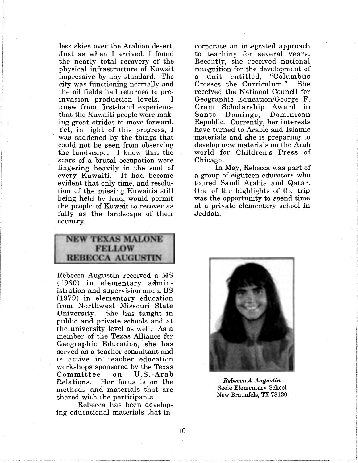less skies over the Arabian desert. Just as when I arrived, I found the nearly total recovery of the physical infrastructure of Kuwait impressive by any standard. The city was functioning normally and the oil fields had returned to preinvasion production levels. I knew from first-hand experience that the Kuwaiti people were making great strides to move forward. Yet, in light of this progress, I was saddened by the things that could not be seen from observing the landscape. I know that the scars of a brutal occupation were lingering heavily in the soul of every Kuwaiti. It had become evident that only time, and resolution of the missing Kuwaitis still being held by Iraq, would permit the people of Kuwait to recover as fully as the landscape of their country.

NEW TEXAS MALONE **FELLOW REBECCA AUGUSTIN** 

Rebecca Augustin received a MS  $(1980)$  in elementary administration and supervision and a BS (1979) in elementary education from Northwest Missouri State University. She has taught in public and private schools and at the university level as well. As a member of the Texas Alliance for Geographic Education, she has served as a teacher consultant and is active in teacher education workshops sponsored by the Texas<br>Committee on U.S.-Arab Committee on Relations. Her focus is on the methods and materials that are shared with the participants.

Rebecca has been developing educational materials that in-

corporate an integrated approach to teaching for several years. Recently, she received national recognition for the development of a unit entitled, "Columbus Crosses the Curriculum." received the National Council for Geographic Education/George F. Cram Scholarship Award in Santo Domingo, Dominican Republic. Currently, her interests have turned to Arabic and Islamic materials and she is preparing to develop new materials on the Arab world for Children's Press of Chicago.

In May, Rebecca was part of a group of eighteen educators who toured Saudi Arabia and Qatar. One of the highlights of the trip was the opportunity to spend time at a private elementary school in Jeddah.



*Rebecca A Augustin*  Seele Elementary School New Braunfels, TX 78130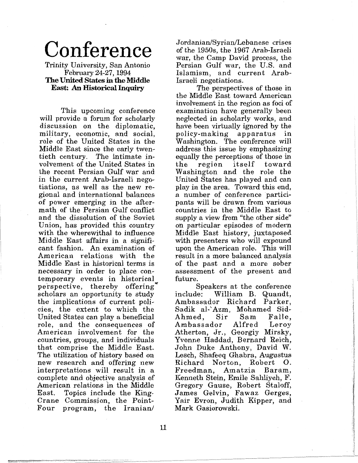# **Conference**

Trinity University, San Antonio February 24-27, 1994 **The United States** in **the Middle East: An Historical Inquiry** 

This upcoming conference will provide a forum for scholarly discussion on the diplomatic, military, economic, and social, role of the United States in the Middle East since the early twentieth century. The intimate involvement of the United States in the recent Persian Gulf war and in the current Arab-Israeli negotiations, as well as the new regional and international balances of power emerging in the aftermath of the Persian Gulf conflict and the dissolution of the Soviet Union, has provided this country with the wherewithal to influence Middle East affairs in a significant fashion. An examination of American relations with the Middle East in historical terms is necessary in order to place contemporary events in historical perspective, thereby offering scholars an opportunity to study the implications of current policies, the extent to which the United States can play a beneficial role, and the consequences of American involvement for the countries, groups, and individuals that comprise the Middle East. The utilization of history based on new research and offering new interpretations will result in a complete and objective analysis of American relations in the Middle<br>East. Topics include the King-Topics include the King-Crane Commission, the Point-Four program, the Iranian/

Jordanian/Syrian/Lebanese crises of the 1950s, the 1967 Arab-Israeli war, the Camp David process, the Persian Gulf war, the U.S. and Islamism, and current Arab-Israeli negotiations.

The perspectives of those in the Middle East toward American involvement in the region as foci of examination have generally been neglected in scholarly work\_s, and have been virtually ignored by the<br>policy-making apparatus in apparatus in Washington. The conference will address this issue by emphasizing equally the perceptions of those in<br>the region itself toward itself Washington and the role the United States has played and can play in the area. Toward this end, a number of conference participants will be drawn from various countries in the Middle East to supply a view from "the other side" on particular episodes of modern Middle East history, juxtaposed with presenters who will expound upon the American role. This will result in a more balanced analysis of the past and a more sober assessment of the present and future.

Speakers at the conference<br>include: William B. Quandt, William B. Quandt, Ambassador Richard Parker, Sadik al-'Azm, Mohamed Sid-Ahmed, Sir Sam Falle,<br>Ambassador Alfred Lerov Ambassador Atherton, Jr., Georgiy Mirsky, Yvonne Haddad, Bernard Reich, John Duke Anthony, David W. Lesch, Shafeeq Ghabra, Augustus Richard Norton, Robert 0. Freedman, Kenneth Stein, Emile Sahliyeh, F. Gregory Gause, Robert Staloff, James Gelvin, Fawaz Gerges, Yair Evron, Judith Kipper, and Mark Gasiorowski.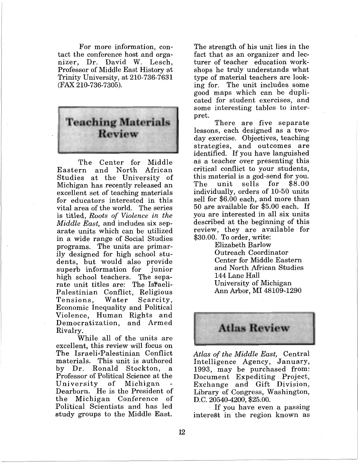For more information, contact the conference host and organizer, Dr. David W. Lesch, Professor of Middle East History at Trinity University, at 210-736-7631 (FAX 210-736-7305).



The Center for Middle Eastern and North African Studies at the University of Michigan has recently released an excellent set of teaching materials for educators interested in this vital area of the world. The series is titled, *Roots of Violence in the Middle East,* and includes six separate units which can be utilized in a wide range of Social Studies programs. The units are primarily designed for high school students, but would also provide<br>superb information for junior superb information for high school teachers. The separate unit titles are: The Israeli-Palestinian Conflict, Religious Tensions, Economic Inequality and Political Violence, Human Rights and Democratization, and Armed Rivalry.

While all of the units are excellent, this review will focus on The Israeli-Palestinian Conflict materials. This unit is authored by Dr. Ronald Stockton, a Professor of Political Science at the<br>University of Michigan - $University$ Dearborn. He is the President of the Michigan Conference of Political Scientists and has led study groups to the Middle East.

The strength of his unit lies in the fact that as an organizer and lecturer of teacher education workshops he truly understands what type of material teachers are looking for. The unit includes some good maps which can be duplicated for student exercises, and some interesting tables to interpret.

There are five separate lessons, each designed as a twoday exercise. Objectives, teaching strategies, and outcomes are identified. If you have languished as a teacher over presenting this critical conflict to your students, this material is a god-send for you.<br>The unit sells for \$8.00 sells for individually, orders of 10-50 units sell for \$6.00 each, and more than 50 are available for \$5.00 each. If you are interested in all six units described at the beginning of this review, they are available for \$30.00. To order, write:

> Elizabeth Barlow Outreach Coordinator Center for Middle Eastern and North African Studies 144 Lane Hall University of Michigan Ann Arbor, MI 48109-1290



*Atlas of the Middle East,* Central Intelligence Agency, January, 1993, may be purchased from: Document Expediting Project, Exchange and Gift Division, Library of Congress, Washington, D.C. 20540-4200, \$25.00.

If you have even a passing interest in the region known as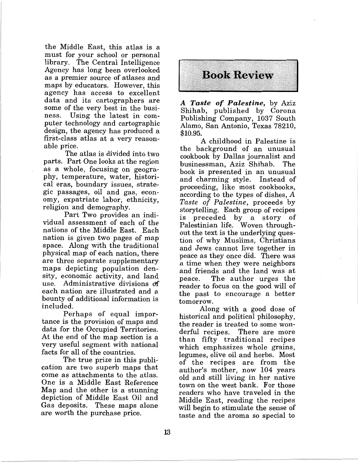the Middle East, this atlas is a must for your school or personal library. The Central Intelligence Agency has long been overlooked as a premier source of atlases and maps by educators. However, this agency has access to excellent data and its cartographers are some of the very best in the business. Using the latest in com-Using the latest in computer technology and cartographic design, the agency has produced a first-class atlas at a very reasonable price.

The atlas is divided into two parts. Part One looks at the region as a whole, focusing on geography, temperature, water, historical eras, boundary issues, strategic passages, oil and gas, economy, expatriate labor, ethnicity, religion and demography.

Part Two provides an individual assessment of each of the nations of the Middle East. Each nation is given two pages of map space. Along with the traditional physical map of each nation, there are three separate supplementary maps depicting population density, economic activity, and land use. Administrative divisions df each nation are illustrated and a bounty of additional information is included.

Perhaps of equal importance is the provision of maps and data for the Occupied Territories. At the end of the map section is a very useful segment with national facts for all of the countries.

The true prize in this publication are two superb maps that come as attachments to the atlas. One is a Middle East Reference Map and the other is a stunning depiction of Middle East Oil and Gas deposits. These maps alone are worth the purchase price.



*A Taste of Palestine,* by Aziz Shihab, published by Corona Publishing Company, 1037 South Alamo, San Antonio, Texas 78210, \$10.95.

A childhood in Palestine is the background of an unusual cookbook by Dallas journalist and businessman, Aziz Shihab. book is presented in an unusual and charming style. Instead of proceeding, like most cookbooks, according to the types of dishes, A *Taste of Palestine,* proceeds by storytelling. Each group of recipes is preceded by a story of Palestinian life. Woven throughout the text is the underlying question of why Muslims, Christians and Jews cannot live together in peace as they once did. There was a time when they were neighbors and friends and the land was at The author urges the reader to focus on the good will of the past to encourage a better tomorrow.

Along with a good dose of historical and political philosophy, the reader is treated to some won-<br>derful recipes. There are more There are more than fifty traditional recipes which emphasizes whole grains, legumes, olive oil and herbs. Most of the recipes are from the author's mother, now 104 years old and still living in her native town on the west bank. For those readers who have traveled in the Middle East, reading the recipes will begin to stimulate the sense of taste and the aroma so special to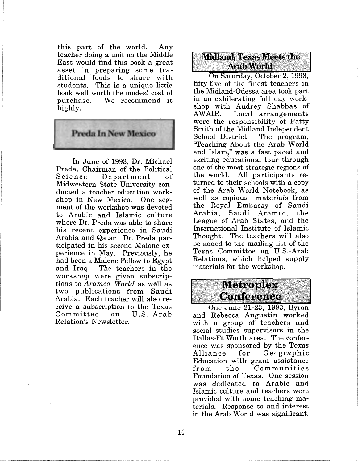this part of the world. Any teacher doing a unit on the Middle East would find this book a great asset in preparing some traditional foods to share with students. This is a unique little book well worth the modest cost of<br>purchase. We recommend it We recommend it highly.



In June of 1993, Dr. Michael Preda, Chairman of the Political Science Department of Midwestern State University conducted a teacher education workshop in New Mexico. One segment of the workshop was devoted to Arabic and Islamic culture where Dr. Preda was able to share his recent experience in Saudi Arabia and Qatar. Dr. Preda participated in his second Malone experience in May. Previously, he had been a Malone Fellow to Egypt and Iraq. The teachers in the workshop were given subscriptions to *Aramco* World as well as two publications from Saudi Arabia. Each teacher will also receive a subscription to the Texas  $\mathtt{Committee}$ Relation's Newsletter.

### **Midland, Texas Meets the Arab World**

On Saturday, October 2, 1993, fifty-five of the finest teachers in the Midland-Odessa area took part in an exhilerating full day workshop with Audrey Shabbas of Local arrangements were the responsibility of Patty Smith of the Midland Independent School District. The program, "Teaching About the Arab World and Islam," was a fast paced and exciting educational tour through one of the most strategic regions of<br>the world. All participants re-All participants returned to their schools with a copy of the Arab World Notebook, as well as copious materials from the Royal Embassy of Saudi Arabia, Saudi Aramco, the League of Arab States, and the International Institute of Islamic Thought. The teachers will also be added to the mailing list of the Texas Committee on U.S.-Arab Relations, which helped supply materials for the workshop.

# Metroplex<br>Conference

One June 21-23, 1993, Byron and Rebecca Augustin worked with a group of teachers and social studies supervisors in the Dallas-Ft Worth area. The conference was sponsored by the Texas Alliance for Geographic Education with grant assistance<br>from the Communities from the Communities Foundation of Texas. One session was dedicated to Arabic and Islamic culture and teachers were provided with some teaching materials. Response to and interest in the Arab World was significant.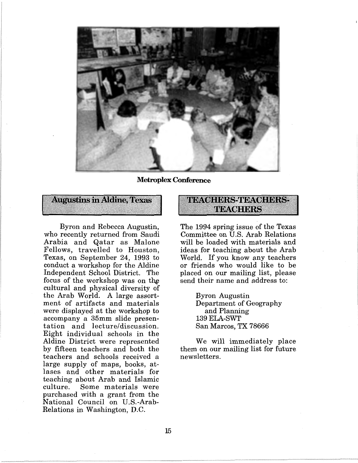

**Metroplex Conference** 



Byron and Rebecca Augustin, who recently returned from Saudi Arabia and Qatar as Malone Fellows, travelled to Houston, Texas, on September 24, 1993 to conduct a workshop for the Aldine Independent School District. The focus of the workshop was on the cultural and physical diversity of the Arab World. A large assortment of artifacts and materials were displayed at the workshop to accompany a 35mm slide presentation and lecture/discussion. Eight individual schools in the Aldine District were represented by fifteen teachers and both the teachers and schools received a large supply of maps, books, atlases and other materials for teaching about Arab and Islamic Some materials were purchased with a grant from the National Council on U.S.-Arab-Relations in Washington, D.C.

### TIBACHERS-TIBACHBRS-TBACHBRS

The 1994 spring issue of the Texas Committee on U.S. Arab Relations will be loaded with materials and ideas for teaching about the Arab \Vorld. If you know any teachers or friends who would like to be placed on our mailing list, please send their name and address to:

> Byron Augustin Department of Geography and Planning 139ELA-SWT San Marcos, TX 78666

We will immediately place them on our mailing list for future newsletters.